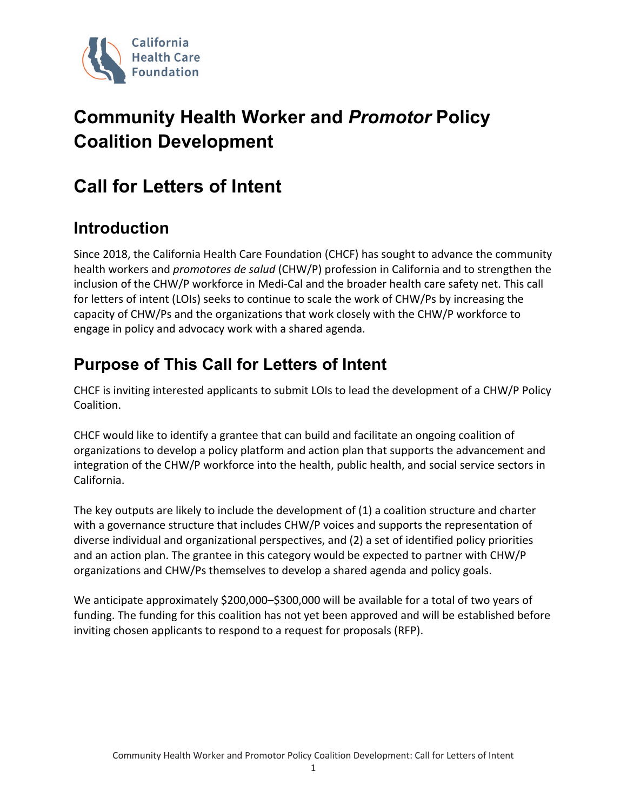

# **Community Health Worker and** *Promotor* **Policy Coalition Development**

## **Call for Letters of Intent**

## **Introduction**

Since 2018, the California Health Care Foundation (CHCF) has sought to advance the community health workers and *promotores de salud* (CHW/P) profession in California and to strengthen the inclusion of the CHW/P workforce in Medi-Cal and the broader health care safety net. This call for letters of intent (LOIs) seeks to continue to scale the work of CHW/Ps by increasing the capacity of CHW/Ps and the organizations that work closely with the CHW/P workforce to engage in policy and advocacy work with a shared agenda.

#### **Purpose of This Call for Letters of Intent**

CHCF is inviting interested applicants to submit LOIs to lead the development of a CHW/P Policy Coalition.

CHCF would like to identify a grantee that can build and facilitate an ongoing coalition of organizations to develop a policy platform and action plan that supports the advancement and integration of the CHW/P workforce into the health, public health, and social service sectors in California.

The key outputs are likely to include the development of (1) a coalition structure and charter with a governance structure that includes CHW/P voices and supports the representation of diverse individual and organizational perspectives, and (2) a set of identified policy priorities and an action plan. The grantee in this category would be expected to partner with CHW/P organizations and CHW/Ps themselves to develop a shared agenda and policy goals.

We anticipate approximately \$200,000–\$300,000 will be available for a total of two years of funding. The funding for this coalition has not yet been approved and will be established before inviting chosen applicants to respond to a request for proposals (RFP).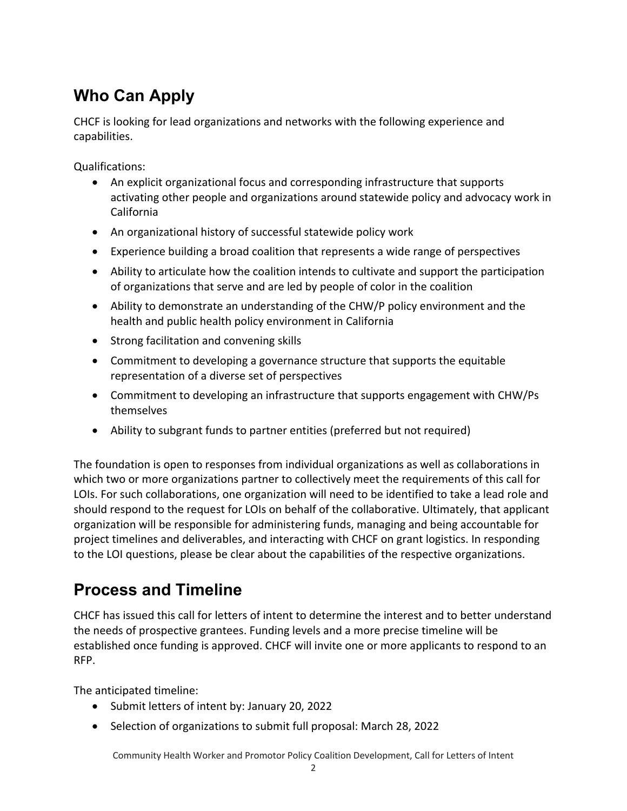## **Who Can Apply**

CHCF is looking for lead organizations and networks with the following experience and capabilities.

Qualifications:

- An explicit organizational focus and corresponding infrastructure that supports activating other people and organizations around statewide policy and advocacy work in California
- An organizational history of successful statewide policy work
- Experience building a broad coalition that represents a wide range of perspectives
- Ability to articulate how the coalition intends to cultivate and support the participation of organizations that serve and are led by people of color in the coalition
- Ability to demonstrate an understanding of the CHW/P policy environment and the health and public health policy environment in California
- Strong facilitation and convening skills
- Commitment to developing a governance structure that supports the equitable representation of a diverse set of perspectives
- Commitment to developing an infrastructure that supports engagement with CHW/Ps themselves
- Ability to subgrant funds to partner entities (preferred but not required)

The foundation is open to responses from individual organizations as well as collaborations in which two or more organizations partner to collectively meet the requirements of this call for LOIs. For such collaborations, one organization will need to be identified to take a lead role and should respond to the request for LOIs on behalf of the collaborative. Ultimately, that applicant organization will be responsible for administering funds, managing and being accountable for project timelines and deliverables, and interacting with CHCF on grant logistics. In responding to the LOI questions, please be clear about the capabilities of the respective organizations.

#### **Process and Timeline**

CHCF has issued this call for letters of intent to determine the interest and to better understand the needs of prospective grantees. Funding levels and a more precise timeline will be established once funding is approved. CHCF will invite one or more applicants to respond to an RFP.

The anticipated timeline:

- Submit letters of intent by: January 20, 2022
- Selection of organizations to submit full proposal: March 28, 2022

Community Health Worker and Promotor Policy Coalition Development, Call for Letters of Intent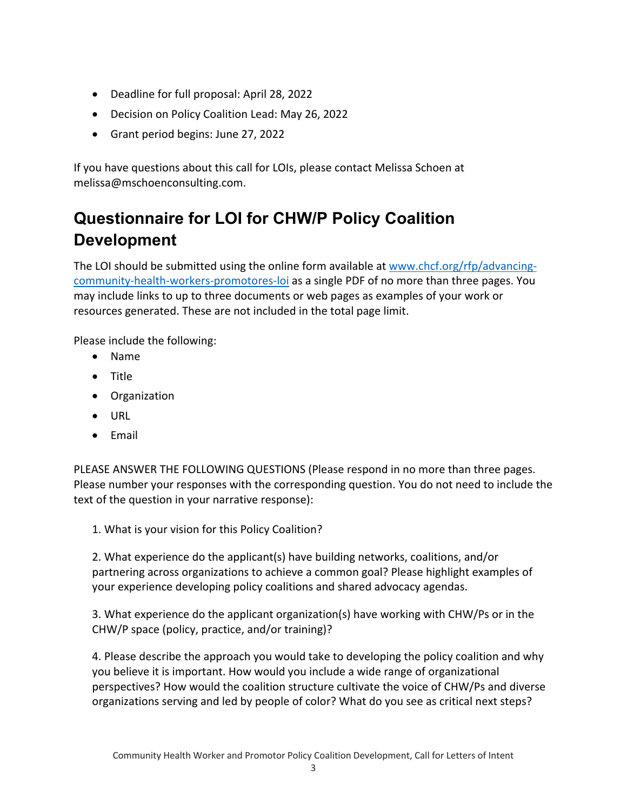- Deadline for full proposal: April 28, 2022
- Decision on Policy Coalition Lead: May 26, 2022
- Grant period begins: June 27, 2022

If you have questions about this call for LOIs, please contact Melissa Schoen at melissa@mschoenconsulting.com.

## **Questionnaire for LOI for CHW/P Policy Coalition Development**

The LOI should be submitted using the online form available at [www.chcf.org/rfp/advancing](http://www.chcf.org/rfp/advancing-community-health-workers-promotores-loi)[community-health-workers-promotores-loi](http://www.chcf.org/rfp/advancing-community-health-workers-promotores-loi) as a single PDF of no more than three pages. You may include links to up to three documents or web pages as examples of your work or resources generated. These are not included in the total page limit.

Please include the following:

- Name
- Title
- Organization
- URL
- Email

PLEASE ANSWER THE FOLLOWING QUESTIONS (Please respond in no more than three pages. Please number your responses with the corresponding question. You do not need to include the text of the question in your narrative response):

1. What is your vision for this Policy Coalition?

2. What experience do the applicant(s) have building networks, coalitions, and/or partnering across organizations to achieve a common goal? Please highlight examples of your experience developing policy coalitions and shared advocacy agendas.

3. What experience do the applicant organization(s) have working with CHW/Ps or in the CHW/P space (policy, practice, and/or training)?

4. Please describe the approach you would take to developing the policy coalition and why you believe it is important. How would you include a wide range of organizational perspectives? How would the coalition structure cultivate the voice of CHW/Ps and diverse organizations serving and led by people of color? What do you see as critical next steps?